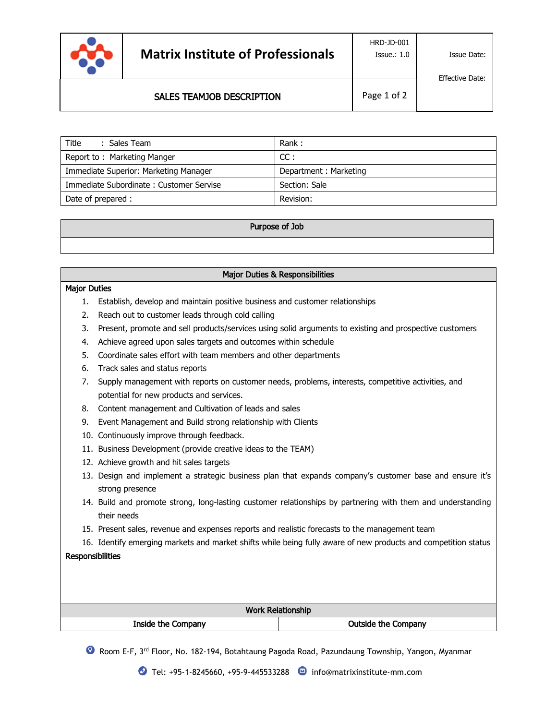

 $\overline{a}$ 

Effective Date:

# SALES TEAMJOB DESCRIPTION

| Title<br>: Sales Team                   | Rank:                 |
|-----------------------------------------|-----------------------|
| Report to: Marketing Manger             | CC:                   |
| Immediate Superior: Marketing Manager   | Department: Marketing |
| Immediate Subordinate: Customer Servise | Section: Sale         |
| Date of prepared :                      | Revision:             |

#### Purpose of Job

## Major Duties & Responsibilities

#### Major Duties

- 1. Establish, develop and maintain positive business and customer relationships
- 2. Reach out to customer leads through cold calling
- 3. Present, promote and sell products/services using solid arguments to existing and prospective customers
- 4. Achieve agreed upon sales targets and outcomes within schedule
- 5. Coordinate sales effort with team members and other departments
- 6. Track sales and status reports
- 7. Supply management with reports on customer needs, problems, interests, competitive activities, and potential for new products and services.
- 8. Content management and Cultivation of leads and sales
- 9. Event Management and Build strong relationship with Clients
- 10. Continuously improve through feedback.
- 11. Business Development (provide creative ideas to the TEAM)
- 12. Achieve growth and hit sales targets
- 13. Design and implement a strategic business plan that expands company's customer base and ensure it's strong presence
- 14. Build and promote strong, long-lasting customer relationships by partnering with them and understanding their needs
- 15. Present sales, revenue and expenses reports and realistic forecasts to the management team
- 16. Identify emerging markets and market shifts while being fully aware of new products and competition status

## **Responsibilities**

| <b>Work Relationship</b> |                            |  |
|--------------------------|----------------------------|--|
| Inside the Company       | <b>Outside the Company</b> |  |

**C** Room E-F, 3<sup>rd</sup> Floor, No. 182-194, Botahtaung Pagoda Road, Pazundaung Township, Yangon, Myanmar